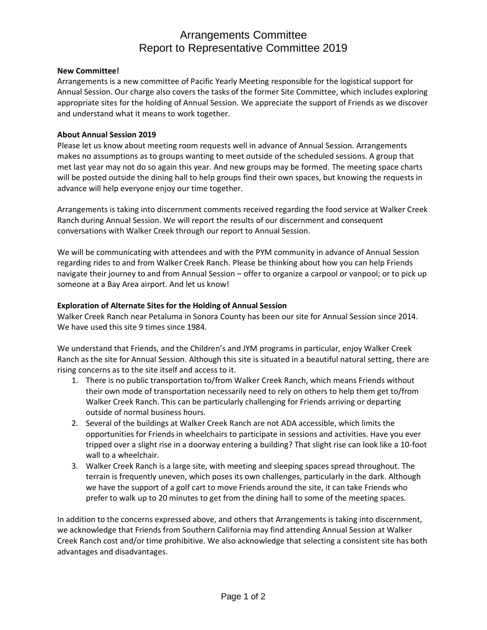# Arrangements Committee Report to Representative Committee 2019

## **New Committee!**

Arrangements is a new committee of Pacific Yearly Meeting responsible for the logistical support for Annual Session. Our charge also covers the tasks of the former Site Committee, which includes exploring appropriate sites for the holding of Annual Session. We appreciate the support of Friends as we discover and understand what it means to work together.

## **About Annual Session 2019**

Please let us know about meeting room requests well in advance of Annual Session. Arrangements makes no assumptions as to groups wanting to meet outside of the scheduled sessions. A group that met last year may not do so again this year. And new groups may be formed. The meeting space charts will be posted outside the dining hall to help groups find their own spaces, but knowing the requests in advance will help everyone enjoy our time together.

Arrangements is taking into discernment comments received regarding the food service at Walker Creek Ranch during Annual Session. We will report the results of our discernment and consequent conversations with Walker Creek through our report to Annual Session.

We will be communicating with attendees and with the PYM community in advance of Annual Session regarding rides to and from Walker Creek Ranch. Please be thinking about how you can help Friends navigate their journey to and from Annual Session – offer to organize a carpool or vanpool; or to pick up someone at a Bay Area airport. And let us know!

## **Exploration of Alternate Sites for the Holding of Annual Session**

Walker Creek Ranch near Petaluma in Sonora County has been our site for Annual Session since 2014. We have used this site 9 times since 1984.

We understand that Friends, and the Children's and JYM programs in particular, enjoy Walker Creek Ranch as the site for Annual Session. Although this site is situated in a beautiful natural setting, there are rising concerns as to the site itself and access to it.

- 1. There is no public transportation to/from Walker Creek Ranch, which means Friends without their own mode of transportation necessarily need to rely on others to help them get to/from Walker Creek Ranch. This can be particularly challenging for Friends arriving or departing outside of normal business hours.
- 2. Several of the buildings at Walker Creek Ranch are not ADA accessible, which limits the opportunities for Friends in wheelchairs to participate in sessions and activities. Have you ever tripped over a slight rise in a doorway entering a building? That slight rise can look like a 10-foot wall to a wheelchair.
- 3. Walker Creek Ranch is a large site, with meeting and sleeping spaces spread throughout. The terrain is frequently uneven, which poses its own challenges, particularly in the dark. Although we have the support of a golf cart to move Friends around the site, it can take Friends who prefer to walk up to 20 minutes to get from the dining hall to some of the meeting spaces.

In addition to the concerns expressed above, and others that Arrangements is taking into discernment, we acknowledge that Friends from Southern California may find attending Annual Session at Walker Creek Ranch cost and/or time prohibitive. We also acknowledge that selecting a consistent site has both advantages and disadvantages.